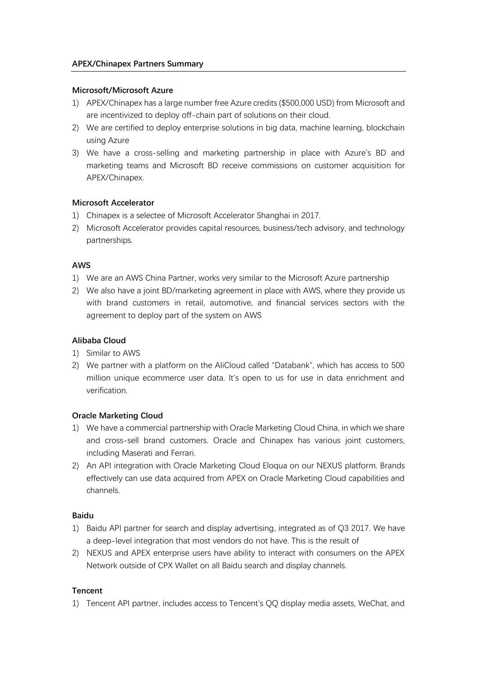### **Microsoft/Microsoft Azure**

- 1) APEX/Chinapex has a large number free Azure credits (\$500,000 USD) from Microsoft and are incentivized to deploy off-chain part of solutions on their cloud.
- 2) We are certified to deploy enterprise solutions in big data, machine learning, blockchain using Azure
- 3) We have a cross-selling and marketing partnership in place with Azure's BD and marketing teams and Microsoft BD receive commissions on customer acquisition for APEX/Chinapex.

## **Microsoft Accelerator**

- 1) Chinapex is a selectee of Microsoft Accelerator Shanghai in 2017.
- 2) Microsoft Accelerator provides capital resources, business/tech advisory, and technology partnerships.

# **AWS**

- 1) We are an AWS China Partner, works very similar to the Microsoft Azure partnership
- 2) We also have a joint BD/marketing agreement in place with AWS, where they provide us with brand customers in retail, automotive, and financial services sectors with the agreement to deploy part of the system on AWS

## **Alibaba Cloud**

- 1) Similar to AWS
- 2) We partner with a platform on the AliCloud called "Databank", which has access to 500 million unique ecommerce user data. It's open to us for use in data enrichment and verification.

## **Oracle Marketing Cloud**

- 1) We have a commercial partnership with Oracle Marketing Cloud China, in which we share and cross-sell brand customers. Oracle and Chinapex has various joint customers, including Maserati and Ferrari.
- 2) An API integration with Oracle Marketing Cloud Eloqua on our NEXUS platform. Brands effectively can use data acquired from APEX on Oracle Marketing Cloud capabilities and channels.

## **Baidu**

- 1) Baidu API partner for search and display advertising, integrated as of Q3 2017. We have a deep-level integration that most vendors do not have. This is the result of
- 2) NEXUS and APEX enterprise users have ability to interact with consumers on the APEX Network outside of CPX Wallet on all Baidu search and display channels.

## **Tencent**

1) Tencent API partner, includes access to Tencent's QQ display media assets, WeChat, and